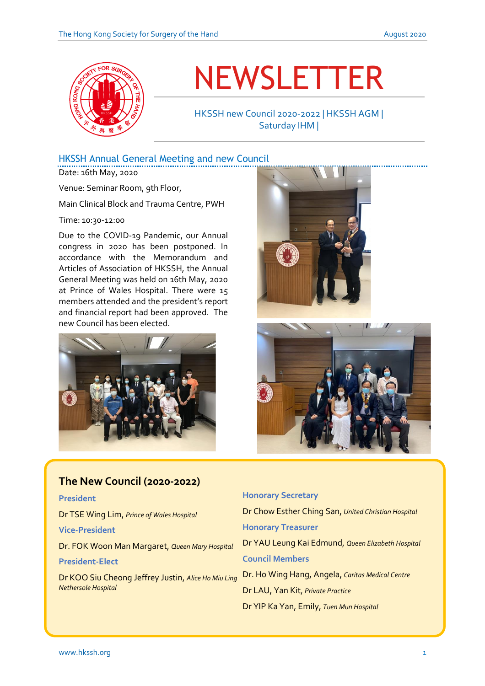

# NEWSLETTER

HKSSH new Council 2020-2022 | HKSSH AGM | Saturday IHM |

### HKSSH Annual General Meeting and new Council

Date: 16th May, 2020

Venue: Seminar Room, 9th Floor,

Main Clinical Block and Trauma Centre, PWH

Time: 10:30-12:00

Due to the COVID-19 Pandemic, our Annual congress in 2020 has been postponed. In accordance with the Memorandum and Articles of Association of HKSSH, the Annual General Meeting was held on 16th May, 2020 at Prince of Wales Hospital. There were 15 members attended and the president's report and financial report had been approved. The new Council has been elected.







| <u> The New Council (2020-2022)</u>                                        |
|----------------------------------------------------------------------------|
| <b>President</b>                                                           |
| Dr TSE Wing Lim, Prince of Wales Hospital                                  |
| <b>Vice-President</b>                                                      |
| Dr. FOK Woon Man Margaret, Queen Mary Hospital                             |
| <b>President-Elect</b>                                                     |
| Dr KOO Siu Cheong Jeffrey Justin, Alice Ho Miu Ling<br>Nethersole Hospital |

# **Honorary Secretary** Dr Chow Esther Ching San, *United Christian Hospital* **Honorary Treasurer** Dr YAU Leung Kai Edmund, *Queen Elizabeth Hospital* **Council Members** Dr. Ho Wing Hang, Angela, *Caritas Medical Centre* Dr LAU, Yan Kit, *Private Practice* Dr YIP Ka Yan, Emily, *Tuen Mun Hospital*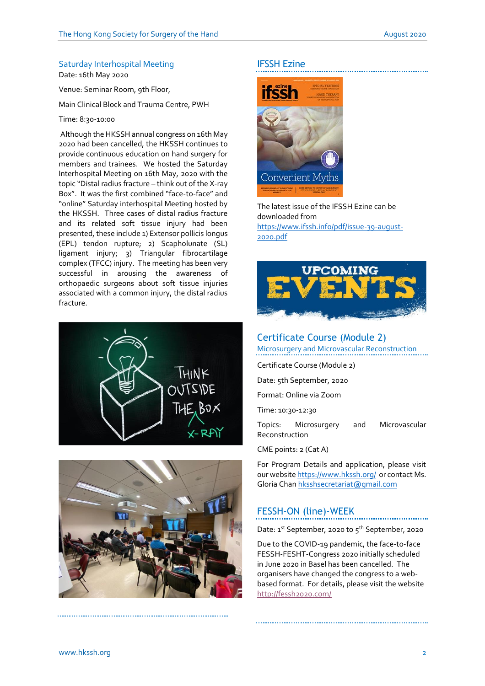#### Saturday Interhospital Meeting

Date: 16th May 2020

Venue: Seminar Room, 9th Floor,

Main Clinical Block and Trauma Centre, PWH

#### Time: 8:30-10:00

Although the HKSSH annual congress on 16th May 2020 had been cancelled, the HKSSH continues to provide continuous education on hand surgery for members and trainees. We hosted the Saturday Interhospital Meeting on 16th May, 2020 with the topic "Distal radius fracture – think out of the X-ray Box". It was the first combined "face-to-face" and "online" Saturday interhospital Meeting hosted by the HKSSH. Three cases of distal radius fracture and its related soft tissue injury had been presented, these include 1) Extensor pollicis longus (EPL) tendon rupture; 2) Scapholunate (SL) ligament injury; 3) Triangular fibrocartilage complex (TFCC) injury. The meeting has been very successful in arousing the awareness of orthopaedic surgeons about soft tissue injuries associated with a common injury, the distal radius fracture.





#### IFSSH Ezine



The latest issue of the IFSSH Ezine can be downloaded from [https://www.ifssh.info/pdf/issue-39-august-](https://www.ifssh.info/pdf/issue-39-august-2020.pdf)[2020.pdf](https://www.ifssh.info/pdf/issue-39-august-2020.pdf)



#### Certificate Course (Module 2)

Microsurgery and Microvascular Reconstruction

Certificate Course (Module 2)

Date: 5th September, 2020

Format: Online via Zoom

Time: 10:30-12:30

Topics: Microsurgery and Microvascular Reconstruction

CME points: 2 (Cat A)

For Program Details and application, please visit our websit[e https://www.hkssh.org/](https://www.hkssh.org/) or contact Ms. Gloria Chan [hksshsecretariat@gmail.com](mailto:hksshsecretariat@gmail.com)

#### FESSH-ON (line)-WEEK

Date:  $1^{st}$  September, 2020 to  $5^{th}$  September, 2020

Due to the COVID-19 pandemic, the face-to-face FESSH-FESHT-Congress 2020 initially scheduled in June 2020 in Basel has been cancelled. The organisers have changed the congress to a webbased format. For details, please visit the website <http://fessh2020.com/>